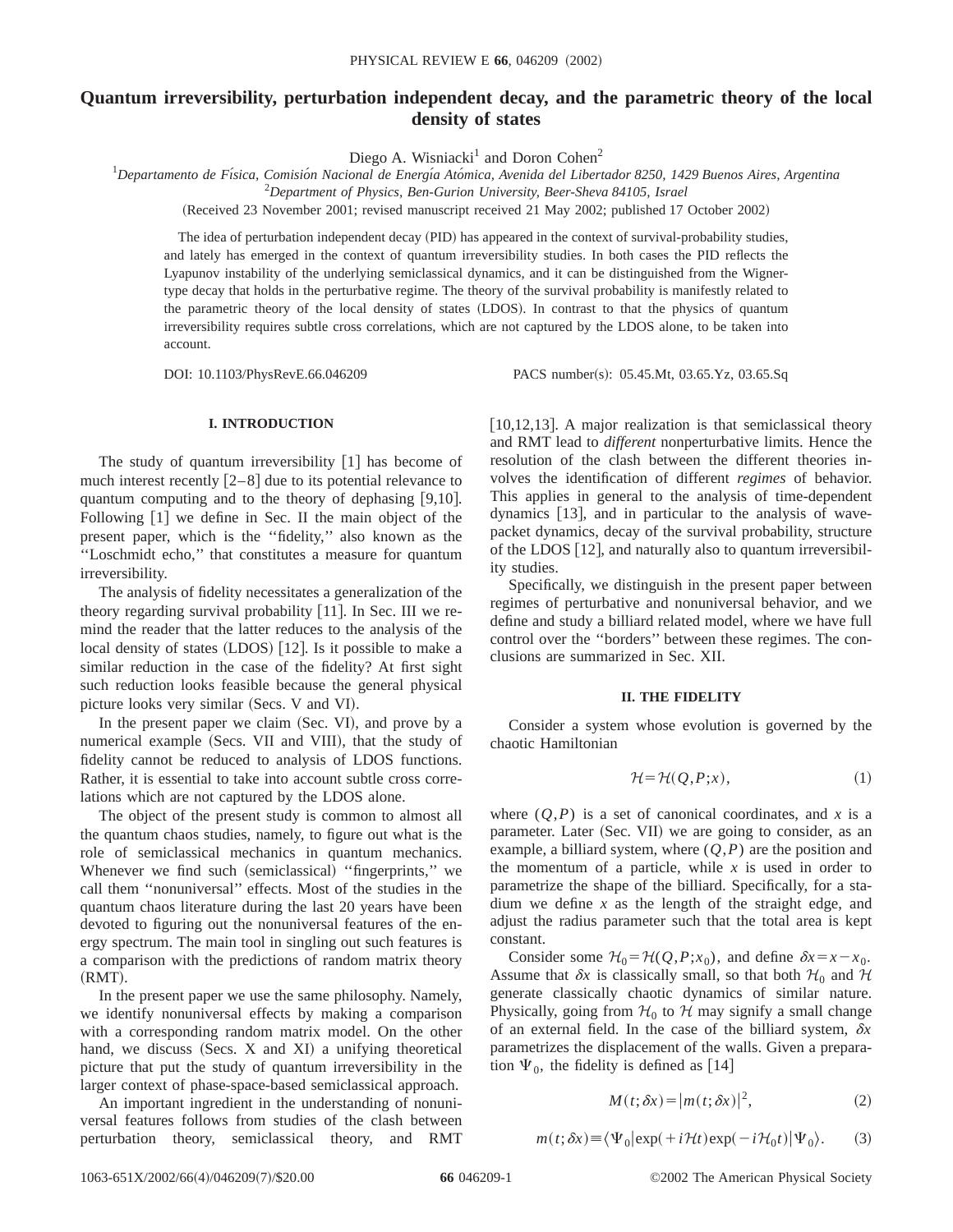# **Quantum irreversibility, perturbation independent decay, and the parametric theory of the local density of states**

Diego A. Wisniacki<sup>1</sup> and Doron Cohen<sup>2</sup>

<sup>1</sup>Departamento de Física, Comisión Nacional de Energía Atómica, Avenida del Libertador 8250, 1429 Buenos Aires, Argentina

2 *Department of Physics, Ben-Gurion University, Beer-Sheva 84105, Israel*

(Received 23 November 2001; revised manuscript received 21 May 2002; published 17 October 2002)

The idea of perturbation independent decay (PID) has appeared in the context of survival-probability studies, and lately has emerged in the context of quantum irreversibility studies. In both cases the PID reflects the Lyapunov instability of the underlying semiclassical dynamics, and it can be distinguished from the Wignertype decay that holds in the perturbative regime. The theory of the survival probability is manifestly related to the parametric theory of the local density of states (LDOS). In contrast to that the physics of quantum irreversibility requires subtle cross correlations, which are not captured by the LDOS alone, to be taken into account.

DOI: 10.1103/PhysRevE.66.046209 PACS number(s): 05.45.Mt, 03.65.Yz, 03.65.Sq

# **I. INTRODUCTION**

The study of quantum irreversibility  $[1]$  has become of much interest recently  $[2-8]$  due to its potential relevance to quantum computing and to the theory of dephasing  $[9,10]$ . Following  $[1]$  we define in Sec. II the main object of the present paper, which is the ''fidelity,'' also known as the ''Loschmidt echo,'' that constitutes a measure for quantum irreversibility.

The analysis of fidelity necessitates a generalization of the theory regarding survival probability  $[11]$ . In Sec. III we remind the reader that the latter reduces to the analysis of the local density of states  $(LDOS)$  [12]. Is it possible to make a similar reduction in the case of the fidelity? At first sight such reduction looks feasible because the general physical picture looks very similar (Secs. V and VI).

In the present paper we claim (Sec. VI), and prove by a numerical example (Secs. VII and VIII), that the study of fidelity cannot be reduced to analysis of LDOS functions. Rather, it is essential to take into account subtle cross correlations which are not captured by the LDOS alone.

The object of the present study is common to almost all the quantum chaos studies, namely, to figure out what is the role of semiclassical mechanics in quantum mechanics. Whenever we find such (semiclassical) "fingerprints," we call them ''nonuniversal'' effects. Most of the studies in the quantum chaos literature during the last 20 years have been devoted to figuring out the nonuniversal features of the energy spectrum. The main tool in singling out such features is a comparison with the predictions of random matrix theory  $(RMT)$ .

In the present paper we use the same philosophy. Namely, we identify nonuniversal effects by making a comparison with a corresponding random matrix model. On the other hand, we discuss  $(Secs. X and XI)$  a unifying theoretical picture that put the study of quantum irreversibility in the larger context of phase-space-based semiclassical approach.

An important ingredient in the understanding of nonuniversal features follows from studies of the clash between perturbation theory, semiclassical theory, and RMT [ $10,12,13$ ]. A major realization is that semiclassical theory and RMT lead to *different* nonperturbative limits. Hence the resolution of the clash between the different theories involves the identification of different *regimes* of behavior. This applies in general to the analysis of time-dependent dynamics  $[13]$ , and in particular to the analysis of wavepacket dynamics, decay of the survival probability, structure of the LDOS  $[12]$ , and naturally also to quantum irreversibility studies.

Specifically, we distinguish in the present paper between regimes of perturbative and nonuniversal behavior, and we define and study a billiard related model, where we have full control over the ''borders'' between these regimes. The conclusions are summarized in Sec. XII.

### **II. THE FIDELITY**

Consider a system whose evolution is governed by the chaotic Hamiltonian

$$
\mathcal{H} = \mathcal{H}(Q, P; x),\tag{1}
$$

where  $(Q, P)$  is a set of canonical coordinates, and *x* is a parameter. Later (Sec. VII) we are going to consider, as an example, a billiard system, where  $(O, P)$  are the position and the momentum of a particle, while  $x$  is used in order to parametrize the shape of the billiard. Specifically, for a stadium we define *x* as the length of the straight edge, and adjust the radius parameter such that the total area is kept constant.

Consider some  $\mathcal{H}_0 = \mathcal{H}(Q, P; x_0)$ , and define  $\delta x = x - x_0$ . Assume that  $\delta x$  is classically small, so that both  $\mathcal{H}_0$  and  $\mathcal{H}$ generate classically chaotic dynamics of similar nature. Physically, going from  $H_0$  to H may signify a small change of an external field. In the case of the billiard system,  $\delta x$ parametrizes the displacement of the walls. Given a preparation  $\Psi_0$ , the fidelity is defined as [14]

$$
M(t; \delta x) = |m(t; \delta x)|^2,
$$
 (2)

$$
m(t; \delta x) \equiv \langle \Psi_0 | \exp(+i\mathcal{H}t) \exp(-i\mathcal{H}_0 t) | \Psi_0 \rangle. \tag{3}
$$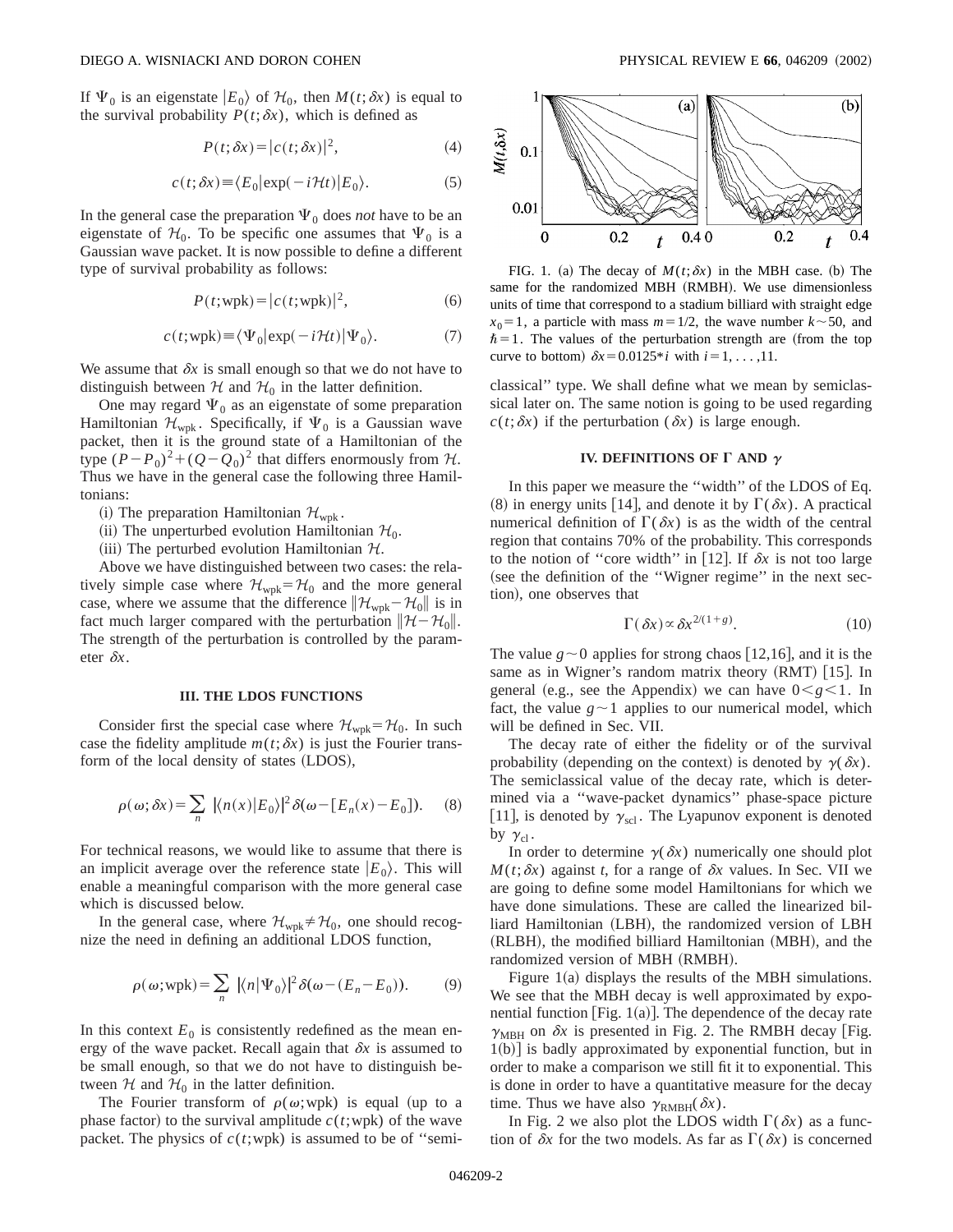If  $\Psi_0$  is an eigenstate  $|E_0\rangle$  of  $\mathcal{H}_0$ , then  $M(t;\delta x)$  is equal to the survival probability  $P(t; \delta x)$ , which is defined as

$$
P(t; \delta x) = |c(t; \delta x)|^2, \tag{4}
$$

$$
c(t; \delta x) \equiv \langle E_0 | \exp(-i\mathcal{H}t) | E_0 \rangle.
$$
 (5)

In the general case the preparation  $\Psi_0$  does *not* have to be an eigenstate of  $\mathcal{H}_0$ . To be specific one assumes that  $\Psi_0$  is a Gaussian wave packet. It is now possible to define a different type of survival probability as follows:

$$
P(t; \text{wpk}) = |c(t; \text{wpk})|^2, \tag{6}
$$

$$
c(t; \text{wpk}) \equiv \langle \Psi_0 | \exp(-i\mathcal{H}t) | \Psi_0 \rangle. \tag{7}
$$

We assume that  $\delta x$  is small enough so that we do not have to distinguish between  $H$  and  $H_0$  in the latter definition.

One may regard  $\Psi_0$  as an eigenstate of some preparation Hamiltonian  $\mathcal{H}_{wpk}$ . Specifically, if  $\Psi_0$  is a Gaussian wave packet, then it is the ground state of a Hamiltonian of the type  $(P-P_0)^2+(Q-Q_0)^2$  that differs enormously from H. Thus we have in the general case the following three Hamiltonians:

- (i) The preparation Hamiltonian  $\mathcal{H}_{\text{wpk}}$ .
- (ii) The unperturbed evolution Hamiltonian  $\mathcal{H}_0$ .
- (iii) The perturbed evolution Hamiltonian  $H$ .

Above we have distinguished between two cases: the relatively simple case where  $\mathcal{H}_{wpk} = \mathcal{H}_0$  and the more general case, where we assume that the difference  $\|\mathcal{H}_{wpk}-\mathcal{H}_{0}\|$  is in fact much larger compared with the perturbation  $\|\mathcal{H}-\mathcal{H}_0\|$ . The strength of the perturbation is controlled by the parameter  $\delta x$ .

#### **III. THE LDOS FUNCTIONS**

Consider first the special case where  $\mathcal{H}_{wpk} = \mathcal{H}_0$ . In such case the fidelity amplitude  $m(t; \delta x)$  is just the Fourier transform of the local density of states (LDOS),

$$
\rho(\omega;\delta x) = \sum_{n} |\langle n(x)|E_0 \rangle|^2 \delta(\omega - [E_n(x) - E_0]). \quad (8)
$$

For technical reasons, we would like to assume that there is an implicit average over the reference state  $|E_0\rangle$ . This will enable a meaningful comparison with the more general case which is discussed below.

In the general case, where  $\mathcal{H}_{wpk} \neq \mathcal{H}_0$ , one should recognize the need in defining an additional LDOS function,

$$
\rho(\omega; \text{wpk}) = \sum_{n} |\langle n | \Psi_0 \rangle|^2 \delta(\omega - (E_n - E_0)). \tag{9}
$$

In this context  $E_0$  is consistently redefined as the mean energy of the wave packet. Recall again that  $\delta x$  is assumed to be small enough, so that we do not have to distinguish between  $H$  and  $H_0$  in the latter definition.

The Fourier transform of  $\rho(\omega;wpk)$  is equal (up to a phase factor) to the survival amplitude  $c(t;wpk)$  of the wave packet. The physics of  $c(t;wpk)$  is assumed to be of "semi-



FIG. 1. (a) The decay of  $M(t; \delta x)$  in the MBH case. (b) The same for the randomized MBH (RMBH). We use dimensionless units of time that correspond to a stadium billiard with straight edge  $x_0=1$ , a particle with mass  $m=1/2$ , the wave number  $k \sim 50$ , and  $\hbar=1$ . The values of the perturbation strength are (from the top curve to bottom)  $\delta x = 0.0125 * i$  with  $i = 1, \ldots, 11$ .

classical'' type. We shall define what we mean by semiclassical later on. The same notion is going to be used regarding  $c(t; \delta x)$  if the perturbation ( $\delta x$ ) is large enough.

# **IV. DEFINITIONS OF**  $\Gamma$  **AND**  $\gamma$

In this paper we measure the ''width'' of the LDOS of Eq.  $(8)$  in energy units [14], and denote it by  $\Gamma(\delta x)$ . A practical numerical definition of  $\Gamma(\delta x)$  is as the width of the central region that contains 70% of the probability. This corresponds to the notion of "core width" in [12]. If  $\delta x$  is not too large (see the definition of the "Wigner regime" in the next section), one observes that

$$
\Gamma(\delta x) \propto \delta x^{2/(1+g)}.\tag{10}
$$

The value  $g \sim 0$  applies for strong chaos [12,16], and it is the same as in Wigner's random matrix theory  $(RMT)$  [15]. In general (e.g., see the Appendix) we can have  $0 < g < 1$ . In fact, the value  $g \sim 1$  applies to our numerical model, which will be defined in Sec. VII.

The decay rate of either the fidelity or of the survival probability (depending on the context) is denoted by  $\gamma(\delta x)$ . The semiclassical value of the decay rate, which is determined via a ''wave-packet dynamics'' phase-space picture [11], is denoted by  $\gamma_{\text{scl}}$ . The Lyapunov exponent is denoted by  $\gamma_{\text{cl}}$ .

In order to determine  $\gamma(\delta x)$  numerically one should plot  $M(t; \delta x)$  against *t*, for a range of  $\delta x$  values. In Sec. VII we are going to define some model Hamiltonians for which we have done simulations. These are called the linearized billiard Hamiltonian (LBH), the randomized version of LBH (RLBH), the modified billiard Hamiltonian (MBH), and the randomized version of MBH (RMBH).

Figure  $1(a)$  displays the results of the MBH simulations. We see that the MBH decay is well approximated by exponential function  $[Fig. 1(a)]$ . The dependence of the decay rate  $\gamma_{MBH}$  on  $\delta x$  is presented in Fig. 2. The RMBH decay [Fig.  $1(b)$ ] is badly approximated by exponential function, but in order to make a comparison we still fit it to exponential. This is done in order to have a quantitative measure for the decay time. Thus we have also  $\gamma_{\rm RMBH}(\delta x)$ .

In Fig. 2 we also plot the LDOS width  $\Gamma(\delta x)$  as a function of  $\delta x$  for the two models. As far as  $\Gamma(\delta x)$  is concerned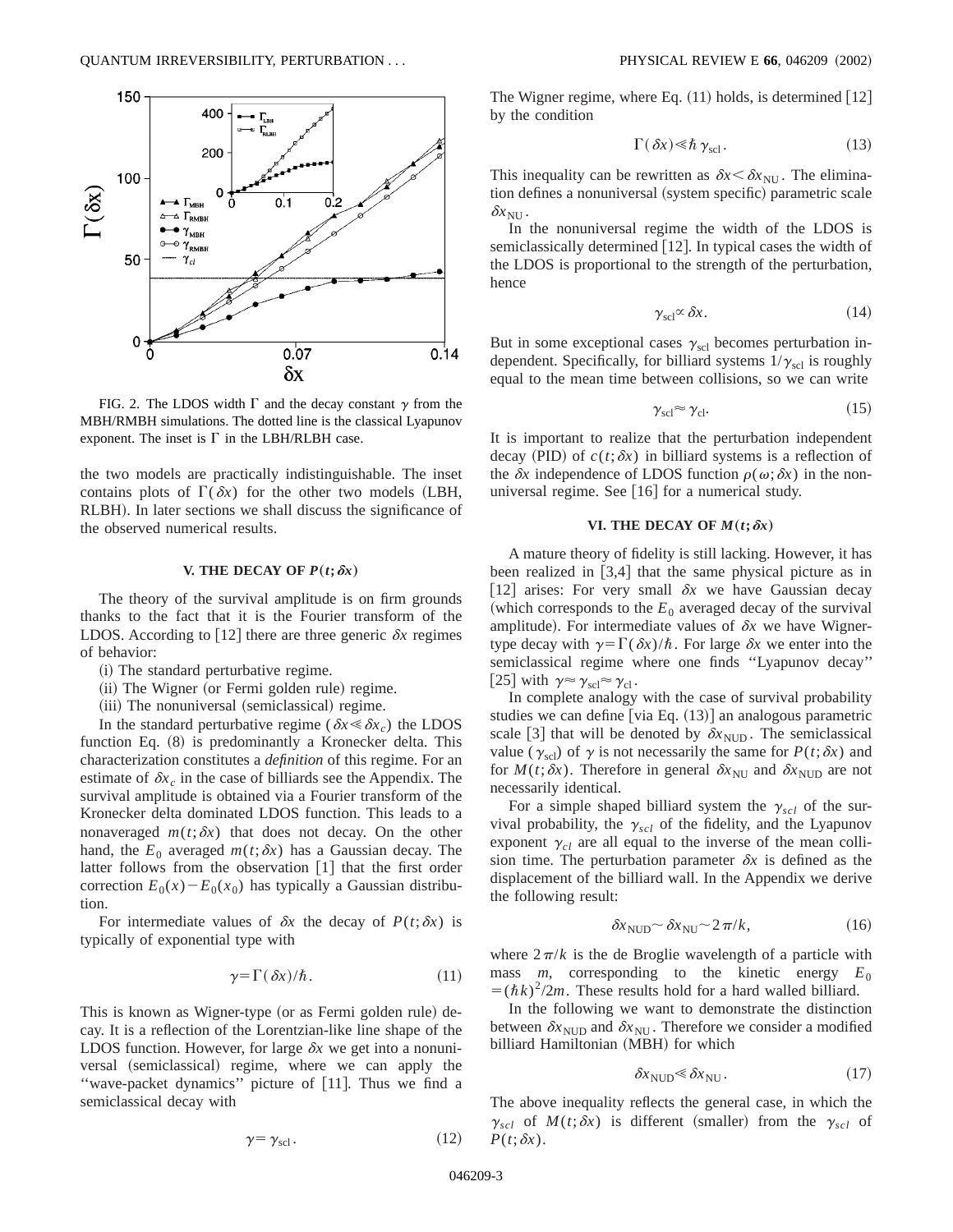

FIG. 2. The LDOS width  $\Gamma$  and the decay constant  $\gamma$  from the MBH/RMBH simulations. The dotted line is the classical Lyapunov exponent. The inset is  $\Gamma$  in the LBH/RLBH case.

the two models are practically indistinguishable. The inset contains plots of  $\Gamma(\delta x)$  for the other two models (LBH, RLBH). In later sections we shall discuss the significance of the observed numerical results.

### **V. THE DECAY OF**  $P(t; \delta x)$

The theory of the survival amplitude is on firm grounds thanks to the fact that it is the Fourier transform of the LDOS. According to [12] there are three generic  $\delta x$  regimes of behavior:

- $(i)$  The standard perturbative regime.
- (ii) The Wigner (or Fermi golden rule) regime.
- (iii) The nonuniversal (semiclassical) regime.

In the standard perturbative regime ( $\delta x \leq \delta x_c$ ) the LDOS function Eq.  $(8)$  is predominantly a Kronecker delta. This characterization constitutes a *definition* of this regime. For an estimate of  $\delta x_c$  in the case of billiards see the Appendix. The survival amplitude is obtained via a Fourier transform of the Kronecker delta dominated LDOS function. This leads to a nonaveraged  $m(t; \delta x)$  that does not decay. On the other hand, the  $E_0$  averaged  $m(t; \delta x)$  has a Gaussian decay. The latter follows from the observation  $[1]$  that the first order correction  $E_0(x) - E_0(x_0)$  has typically a Gaussian distribution.

For intermediate values of  $\delta x$  the decay of  $P(t; \delta x)$  is typically of exponential type with

$$
\gamma = \Gamma(\delta x) / \hbar. \tag{11}
$$

This is known as Wigner-type (or as Fermi golden rule) decay. It is a reflection of the Lorentzian-like line shape of the LDOS function. However, for large  $\delta x$  we get into a nonuniversal (semiclassical) regime, where we can apply the "wave-packet dynamics" picture of  $[11]$ . Thus we find a semiclassical decay with

$$
\gamma = \gamma_{\text{scl}}.\tag{12}
$$

The Wigner regime, where Eq.  $(11)$  holds, is determined  $|12|$ by the condition

$$
\Gamma(\delta x) \ll \hbar \gamma_{\text{scl}}.
$$
 (13)

This inequality can be rewritten as  $\delta x \leq \delta x_{\text{NU}}$ . The elimination defines a nonuniversal (system specific) parametric scale  $\delta x_{\text{NI}}$ .

In the nonuniversal regime the width of the LDOS is semiclassically determined [12]. In typical cases the width of the LDOS is proportional to the strength of the perturbation, hence

$$
\gamma_{\text{sel}} \propto \delta x. \tag{14}
$$

But in some exceptional cases  $\gamma_{\text{sel}}$  becomes perturbation independent. Specifically, for billiard systems  $1/\gamma_{\text{scl}}$  is roughly equal to the mean time between collisions, so we can write

$$
\gamma_{\rm scl} \approx \gamma_{\rm cl}.\tag{15}
$$

It is important to realize that the perturbation independent decay (PID) of  $c(t; \delta x)$  in billiard systems is a reflection of the  $\delta x$  independence of LDOS function  $\rho(\omega;\delta x)$  in the nonuniversal regime. See  $[16]$  for a numerical study.

### **VI. THE DECAY OF**  $M(t; \delta x)$

A mature theory of fidelity is still lacking. However, it has been realized in  $[3,4]$  that the same physical picture as in [12] arises: For very small  $\delta x$  we have Gaussian decay (which corresponds to the  $E_0$  averaged decay of the survival amplitude). For intermediate values of  $\delta x$  we have Wignertype decay with  $\gamma=\Gamma(\delta x)/\hbar$ . For large  $\delta x$  we enter into the semiclassical regime where one finds ''Lyapunov decay'' [25] with  $\gamma \approx \gamma_{\text{sel}} \approx \gamma_{\text{cl}}$ .

In complete analogy with the case of survival probability studies we can define [via Eq.  $(13)$ ] an analogous parametric scale [3] that will be denoted by  $\delta x_{\text{NUD}}$ . The semiclassical value ( $\gamma_{\text{sel}}$ ) of  $\gamma$  is not necessarily the same for  $P(t;\delta x)$  and for  $M(t; \delta x)$ . Therefore in general  $\delta x_{NU}$  and  $\delta x_{NUD}$  are not necessarily identical.

For a simple shaped billiard system the  $\gamma_{\text{sel}}$  of the survival probability, the  $\gamma_{\text{scl}}$  of the fidelity, and the Lyapunov exponent  $\gamma_{cl}$  are all equal to the inverse of the mean collision time. The perturbation parameter  $\delta x$  is defined as the displacement of the billiard wall. In the Appendix we derive the following result:

$$
\delta x_{\text{NUD}} \sim \delta x_{\text{NU}} \sim 2\,\pi/k,\tag{16}
$$

where  $2\pi/k$  is the de Broglie wavelength of a particle with mass *m*, corresponding to the kinetic energy  $E_0$  $= (\hbar k)^2/2m$ . These results hold for a hard walled billiard.

In the following we want to demonstrate the distinction between  $\delta x_{\text{NUD}}$  and  $\delta x_{\text{NU}}$ . Therefore we consider a modified billiard Hamiltonian (MBH) for which

$$
\delta x_{\text{NUD}} \ll \delta x_{\text{NU}}.\tag{17}
$$

The above inequality reflects the general case, in which the  $\gamma_{\text{sel}}$  of  $M(t; \delta x)$  is different (smaller) from the  $\gamma_{\text{sel}}$  of  $P(t;\delta x)$ .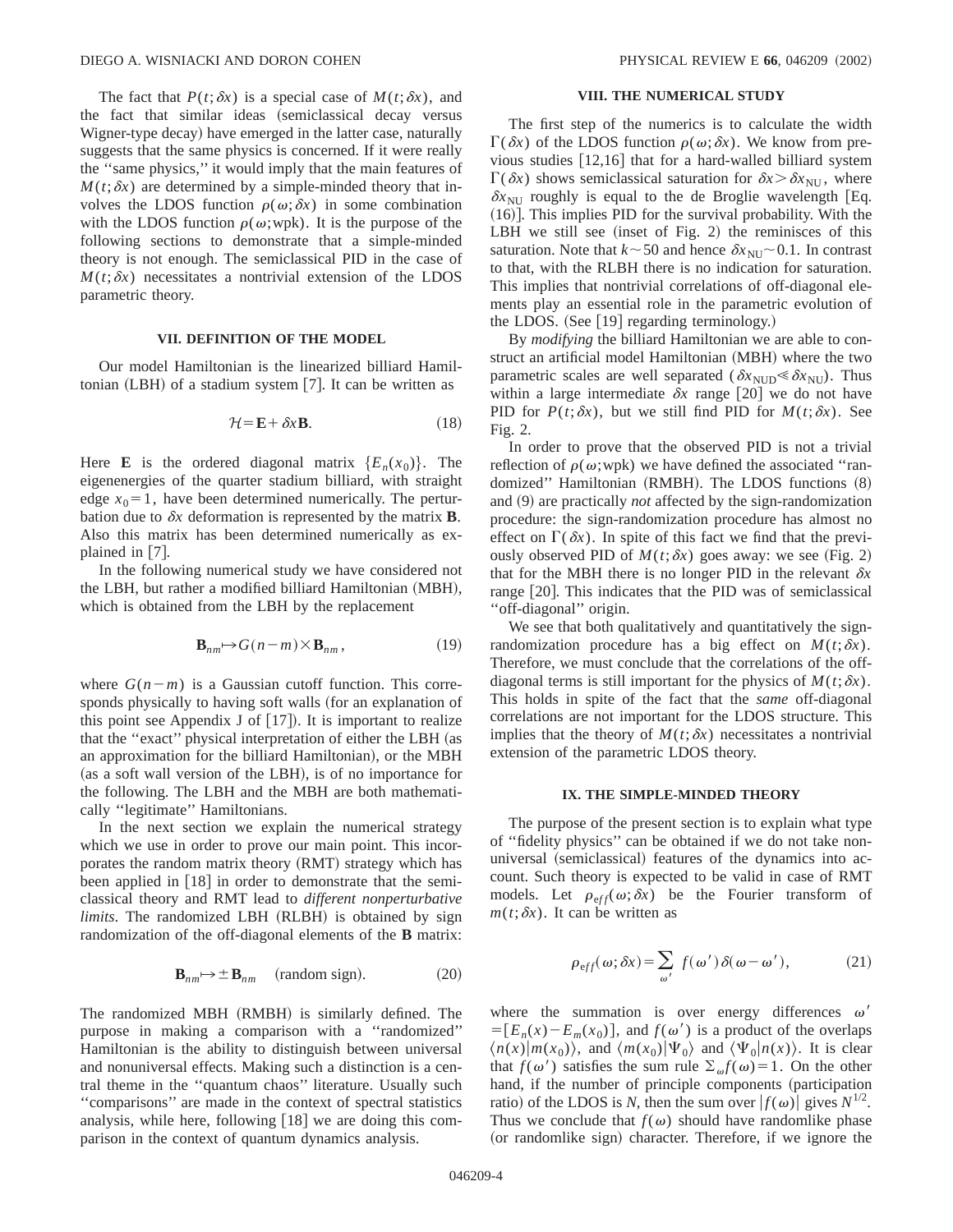The fact that  $P(t;\delta x)$  is a special case of  $M(t;\delta x)$ , and the fact that similar ideas (semiclassical decay versus Wigner-type decay) have emerged in the latter case, naturally suggests that the same physics is concerned. If it were really the ''same physics,'' it would imply that the main features of  $M(t; \delta x)$  are determined by a simple-minded theory that involves the LDOS function  $\rho(\omega;\delta x)$  in some combination with the LDOS function  $\rho(\omega;wpk)$ . It is the purpose of the following sections to demonstrate that a simple-minded theory is not enough. The semiclassical PID in the case of  $M(t; \delta x)$  necessitates a nontrivial extension of the LDOS parametric theory.

# **VII. DEFINITION OF THE MODEL**

Our model Hamiltonian is the linearized billiard Hamiltonian  $(LBH)$  of a stadium system  $[7]$ . It can be written as

$$
\mathcal{H} = \mathbf{E} + \delta x \mathbf{B}.\tag{18}
$$

Here **E** is the ordered diagonal matrix  $\{E_n(x_0)\}\$ . The eigenenergies of the quarter stadium billiard, with straight edge  $x_0 = 1$ , have been determined numerically. The perturbation due to  $\delta x$  deformation is represented by the matrix **B**. Also this matrix has been determined numerically as explained in  $[7]$ .

In the following numerical study we have considered not the LBH, but rather a modified billiard Hamiltonian (MBH), which is obtained from the LBH by the replacement

$$
\mathbf{B}_{nm} \mapsto G(n-m) \times \mathbf{B}_{nm},\tag{19}
$$

where  $G(n-m)$  is a Gaussian cutoff function. This corresponds physically to having soft walls (for an explanation of this point see Appendix J of  $[17]$ . It is important to realize that the "exact" physical interpretation of either the LBH (as an approximation for the billiard Hamiltonian), or the MBH  $\alpha$  as a soft wall version of the LBH), is of no importance for the following. The LBH and the MBH are both mathematically ''legitimate'' Hamiltonians.

In the next section we explain the numerical strategy which we use in order to prove our main point. This incorporates the random matrix theory (RMT) strategy which has been applied in [18] in order to demonstrate that the semiclassical theory and RMT lead to *different nonperturbative limits*. The randomized LBH (RLBH) is obtained by sign randomization of the off-diagonal elements of the **B** matrix:

$$
\mathbf{B}_{nm} \mapsto \pm \mathbf{B}_{nm} \quad \text{(random sign)}.\tag{20}
$$

The randomized MBH (RMBH) is similarly defined. The purpose in making a comparison with a ''randomized'' Hamiltonian is the ability to distinguish between universal and nonuniversal effects. Making such a distinction is a central theme in the ''quantum chaos'' literature. Usually such ''comparisons'' are made in the context of spectral statistics analysis, while here, following  $[18]$  we are doing this comparison in the context of quantum dynamics analysis.

# **VIII. THE NUMERICAL STUDY**

The first step of the numerics is to calculate the width  $\Gamma(\delta x)$  of the LDOS function  $\rho(\omega;\delta x)$ . We know from previous studies  $[12,16]$  that for a hard-walled billiard system  $\Gamma(\delta x)$  shows semiclassical saturation for  $\delta x > \delta x_{\text{NU}}$ , where  $\delta x_{\text{NU}}$  roughly is equal to the de Broglie wavelength [Eq.  $(16)$ ]. This implies PID for the survival probability. With the  $LBH$  we still see (inset of Fig. 2) the reminisces of this saturation. Note that  $k \sim 50$  and hence  $\delta x_{\text{NU}} \sim 0.1$ . In contrast to that, with the RLBH there is no indication for saturation. This implies that nontrivial correlations of off-diagonal elements play an essential role in the parametric evolution of the LDOS. (See  $[19]$  regarding terminology.)

By *modifying* the billiard Hamiltonian we are able to construct an artificial model Hamiltonian (MBH) where the two parametric scales are well separated ( $\delta x_{\text{NUD}} \leq \delta x_{\text{NU}}$ ). Thus within a large intermediate  $\delta x$  range [20] we do not have PID for  $P(t; \delta x)$ , but we still find PID for  $M(t; \delta x)$ . See Fig. 2.

In order to prove that the observed PID is not a trivial reflection of  $\rho(\omega; wpk)$  we have defined the associated "randomized'' Hamiltonian (RMBH). The LDOS functions  $(8)$ and (9) are practically *not* affected by the sign-randomization procedure: the sign-randomization procedure has almost no effect on  $\Gamma(\delta x)$ . In spite of this fact we find that the previously observed PID of  $M(t; \delta x)$  goes away: we see (Fig. 2) that for the MBH there is no longer PID in the relevant  $\delta x$ range  $[20]$ . This indicates that the PID was of semiclassical ''off-diagonal'' origin.

We see that both qualitatively and quantitatively the signrandomization procedure has a big effect on  $M(t; \delta x)$ . Therefore, we must conclude that the correlations of the offdiagonal terms is still important for the physics of  $M(t; \delta x)$ . This holds in spite of the fact that the *same* off-diagonal correlations are not important for the LDOS structure. This implies that the theory of  $M(t; \delta x)$  necessitates a nontrivial extension of the parametric LDOS theory.

# **IX. THE SIMPLE-MINDED THEORY**

The purpose of the present section is to explain what type of ''fidelity physics'' can be obtained if we do not take nonuniversal (semiclassical) features of the dynamics into account. Such theory is expected to be valid in case of RMT models. Let  $\rho_{eff}(\omega;\delta x)$  be the Fourier transform of  $m(t; \delta x)$ . It can be written as

$$
\rho_{\text{eff}}(\omega;\delta x) = \sum_{\omega'} f(\omega') \,\delta(\omega - \omega'),\tag{21}
$$

where the summation is over energy differences  $\omega'$  $= [E_n(x) - E_m(x_0)]$ , and  $f(\omega')$  is a product of the overlaps  $\langle n(x)|m(x_0)\rangle$ , and  $\langle m(x_0)|\Psi_0\rangle$  and  $\langle \Psi_0|n(x)\rangle$ . It is clear that  $f(\omega')$  satisfies the sum rule  $\sum_{\omega} f(\omega) = 1$ . On the other hand, if the number of principle components (participation ratio) of the LDOS is *N*, then the sum over  $|f(\omega)|$  gives  $N^{1/2}$ . Thus we conclude that  $f(\omega)$  should have randomlike phase (or randomlike sign) character. Therefore, if we ignore the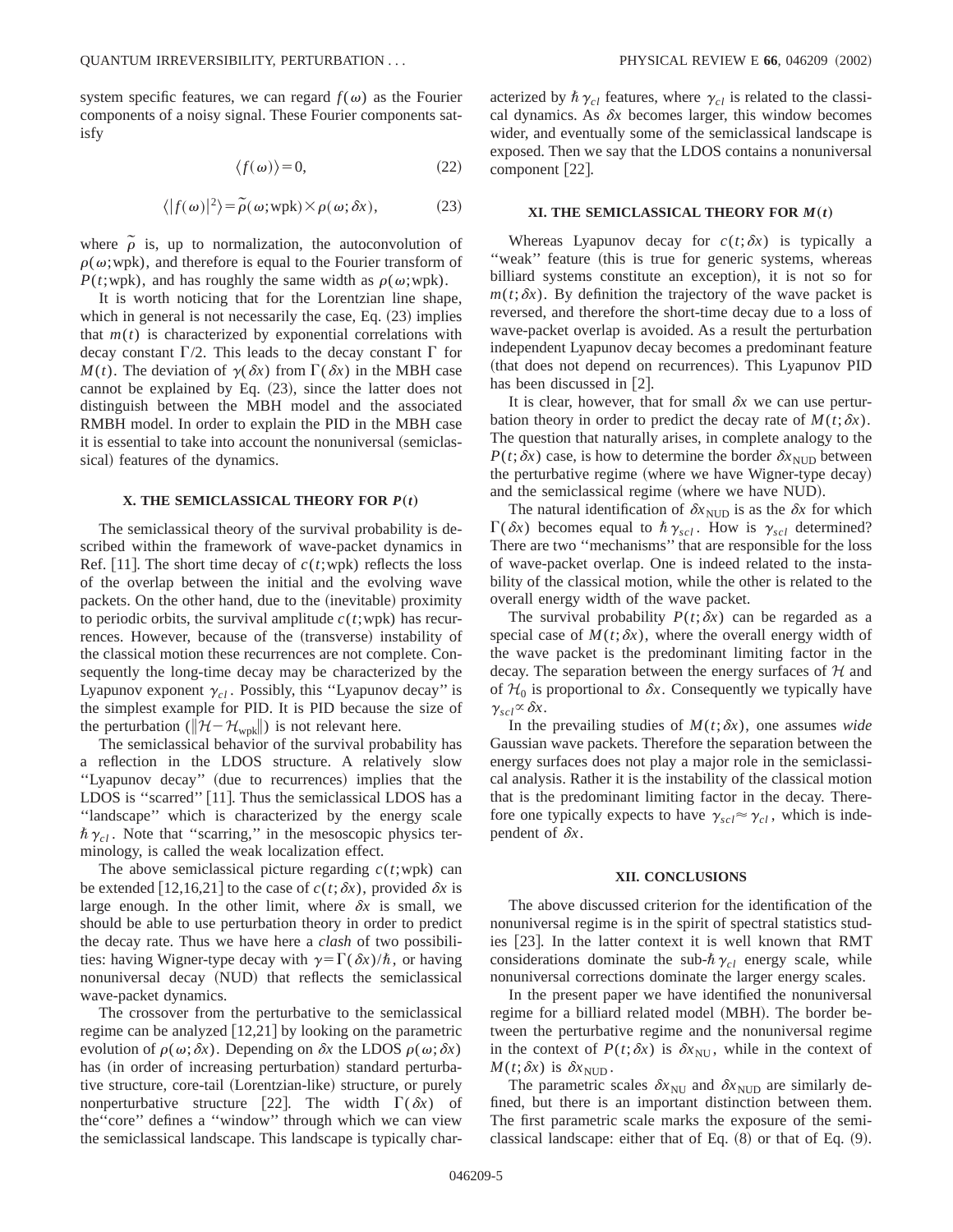system specific features, we can regard  $f(\omega)$  as the Fourier components of a noisy signal. These Fourier components satisfy

$$
\langle f(\omega) \rangle = 0,\tag{22}
$$

$$
\langle |f(\omega)|^2 \rangle = \tilde{\rho}(\omega; \text{wpk}) \times \rho(\omega; \delta x), \tag{23}
$$

where  $\tilde{\rho}$  is, up to normalization, the autoconvolution of  $\rho(\omega;$  wpk), and therefore is equal to the Fourier transform of *P*(*t*;wpk), and has roughly the same width as  $\rho(\omega; wpk)$ .

It is worth noticing that for the Lorentzian line shape, which in general is not necessarily the case, Eq.  $(23)$  implies that  $m(t)$  is characterized by exponential correlations with decay constant  $\Gamma/2$ . This leads to the decay constant  $\Gamma$  for *M*(*t*). The deviation of  $\gamma(\delta x)$  from  $\Gamma(\delta x)$  in the MBH case cannot be explained by Eq.  $(23)$ , since the latter does not distinguish between the MBH model and the associated RMBH model. In order to explain the PID in the MBH case it is essential to take into account the nonuniversal (semiclassical) features of the dynamics.

# **X. THE SEMICLASSICAL THEORY FOR**  $P(t)$

The semiclassical theory of the survival probability is described within the framework of wave-packet dynamics in Ref. [11]. The short time decay of  $c(t;wpk)$  reflects the loss of the overlap between the initial and the evolving wave packets. On the other hand, due to the (inevitable) proximity to periodic orbits, the survival amplitude  $c(t;$ wpk) has recurrences. However, because of the (transverse) instability of the classical motion these recurrences are not complete. Consequently the long-time decay may be characterized by the Lyapunov exponent  $\gamma_{cl}$ . Possibly, this "Lyapunov decay" is the simplest example for PID. It is PID because the size of the perturbation ( $\|\mathcal{H}-\mathcal{H}_{\text{wpk}}\|$ ) is not relevant here.

The semiclassical behavior of the survival probability has a reflection in the LDOS structure. A relatively slow "Lyapunov decay" (due to recurrences) implies that the LDOS is "scarred"  $[11]$ . Thus the semiclassical LDOS has a ''landscape'' which is characterized by the energy scale  $\hbar \gamma_{cl}$ . Note that "scarring," in the mesoscopic physics terminology, is called the weak localization effect.

The above semiclassical picture regarding  $c(t;$ wpk) can be extended [12,16,21] to the case of  $c(t; \delta x)$ , provided  $\delta x$  is large enough. In the other limit, where  $\delta x$  is small, we should be able to use perturbation theory in order to predict the decay rate. Thus we have here a *clash* of two possibilities: having Wigner-type decay with  $\gamma=\Gamma(\delta x)/\hbar$ , or having nonuniversal decay (NUD) that reflects the semiclassical wave-packet dynamics.

The crossover from the perturbative to the semiclassical regime can be analyzed  $[12,21]$  by looking on the parametric evolution of  $\rho(\omega;\delta x)$ . Depending on  $\delta x$  the LDOS  $\rho(\omega;\delta x)$ has (in order of increasing perturbation) standard perturbative structure, core-tail (Lorentzian-like) structure, or purely nonperturbative structure [22]. The width  $\Gamma(\delta x)$  of the''core'' defines a ''window'' through which we can view the semiclassical landscape. This landscape is typically characterized by  $\hbar \gamma_{cl}$  features, where  $\gamma_{cl}$  is related to the classical dynamics. As  $\delta x$  becomes larger, this window becomes wider, and eventually some of the semiclassical landscape is exposed. Then we say that the LDOS contains a nonuniversal component [22].

### **XI. THE SEMICLASSICAL THEORY FOR**  $M(t)$

Whereas Lyapunov decay for  $c(t; \delta x)$  is typically a "weak" feature (this is true for generic systems, whereas billiard systems constitute an exception), it is not so for  $m(t; \delta x)$ . By definition the trajectory of the wave packet is reversed, and therefore the short-time decay due to a loss of wave-packet overlap is avoided. As a result the perturbation independent Lyapunov decay becomes a predominant feature (that does not depend on recurrences). This Lyapunov PID has been discussed in  $[2]$ .

It is clear, however, that for small  $\delta x$  we can use perturbation theory in order to predict the decay rate of  $M(t; \delta x)$ . The question that naturally arises, in complete analogy to the  $P(t; \delta x)$  case, is how to determine the border  $\delta x_{\text{NUD}}$  between the perturbative regime (where we have Wigner-type decay) and the semiclassical regime (where we have NUD).

The natural identification of  $\delta x_{\text{NUD}}$  is as the  $\delta x$  for which  $\Gamma(\delta x)$  becomes equal to  $\hbar \gamma_{\text{scl}}$ . How is  $\gamma_{\text{scl}}$  determined? There are two ''mechanisms'' that are responsible for the loss of wave-packet overlap. One is indeed related to the instability of the classical motion, while the other is related to the overall energy width of the wave packet.

The survival probability  $P(t; \delta x)$  can be regarded as a special case of  $M(t; \delta x)$ , where the overall energy width of the wave packet is the predominant limiting factor in the decay. The separation between the energy surfaces of  $H$  and of  $H_0$  is proportional to  $\delta x$ . Consequently we typically have  $\gamma_{\scriptscriptstyle{scl}} \propto \delta x$ .

In the prevailing studies of  $M(t; \delta x)$ , one assumes *wide* Gaussian wave packets. Therefore the separation between the energy surfaces does not play a major role in the semiclassical analysis. Rather it is the instability of the classical motion that is the predominant limiting factor in the decay. Therefore one typically expects to have  $\gamma_{\text{scl}} \approx \gamma_{\text{cl}}$ , which is independent of  $\delta x$ .

#### **XII. CONCLUSIONS**

The above discussed criterion for the identification of the nonuniversal regime is in the spirit of spectral statistics studies [23]. In the latter context it is well known that RMT considerations dominate the sub- $\hbar \gamma_{cl}$  energy scale, while nonuniversal corrections dominate the larger energy scales.

In the present paper we have identified the nonuniversal regime for a billiard related model (MBH). The border between the perturbative regime and the nonuniversal regime in the context of  $P(t; \delta x)$  is  $\delta x_{NU}$ , while in the context of  $M(t; \delta x)$  is  $\delta x_{\text{NUD}}$ .

The parametric scales  $\delta x_{\text{NU}}$  and  $\delta x_{\text{NUD}}$  are similarly defined, but there is an important distinction between them. The first parametric scale marks the exposure of the semiclassical landscape: either that of Eq.  $(8)$  or that of Eq.  $(9)$ .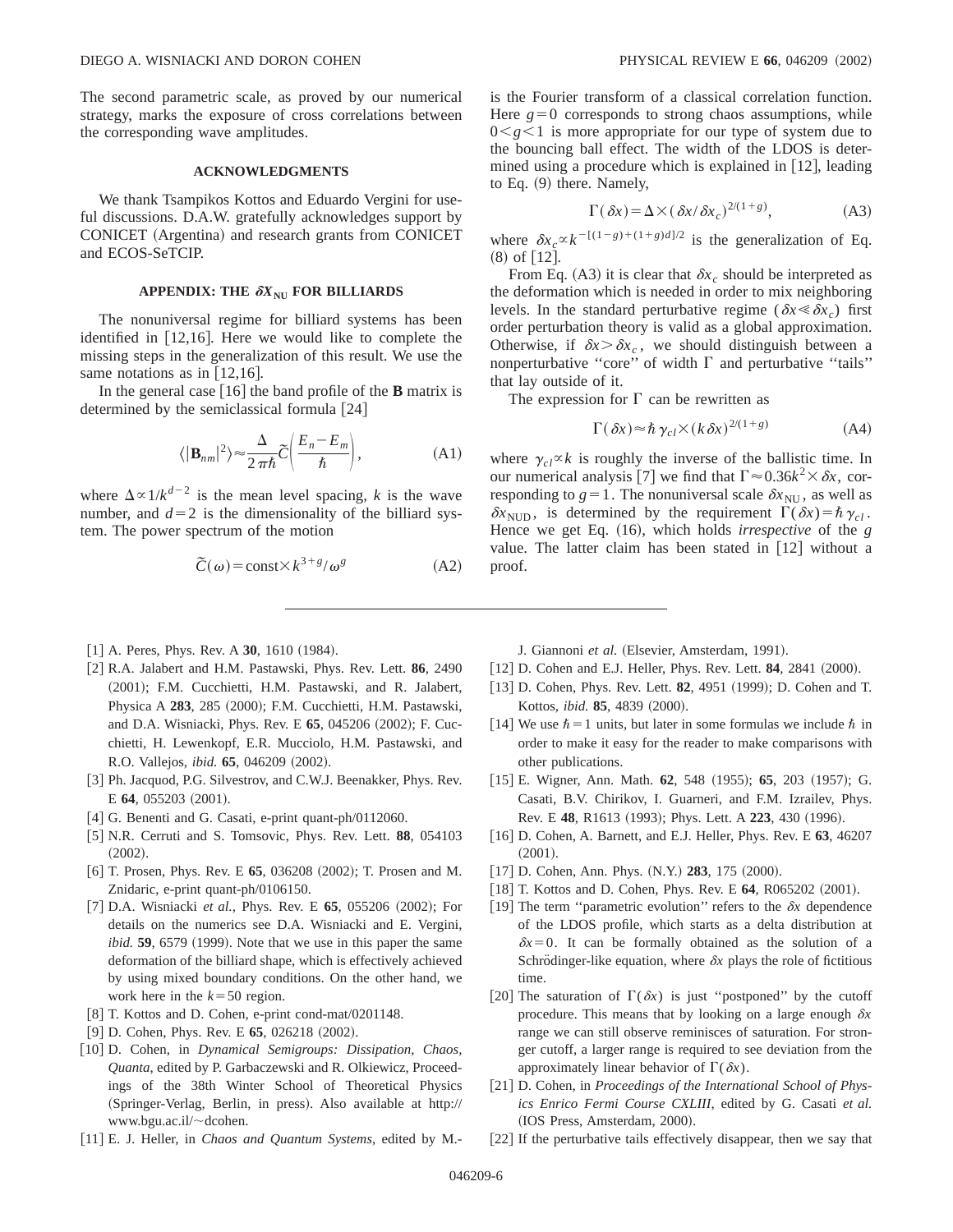The second parametric scale, as proved by our numerical strategy, marks the exposure of cross correlations between the corresponding wave amplitudes.

### **ACKNOWLEDGMENTS**

We thank Tsampikos Kottos and Eduardo Vergini for useful discussions. D.A.W. gratefully acknowledges support by CONICET (Argentina) and research grants from CONICET and ECOS-SeTCIP.

# APPENDIX: THE  $\delta X_{\text{NU}}$  FOR BILLIARDS

The nonuniversal regime for billiard systems has been identified in  $[12,16]$ . Here we would like to complete the missing steps in the generalization of this result. We use the same notations as in  $[12,16]$ .

In the general case  $[16]$  the band profile of the **B** matrix is determined by the semiclassical formula  $[24]$ 

$$
\langle |\mathbf{B}_{nm}|^2 \rangle \approx \frac{\Delta}{2\pi\hbar} \widetilde{C} \bigg( \frac{E_n - E_m}{\hbar} \bigg), \tag{A1}
$$

where  $\Delta \propto 1/k^{d-2}$  is the mean level spacing, *k* is the wave number, and  $d=2$  is the dimensionality of the billiard system. The power spectrum of the motion

$$
\tilde{C}(\omega) = \text{const} \times k^{3+g}/\omega^g \tag{A2}
$$

- $[1]$  A. Peres, Phys. Rev. A  $30$ , 1610  $(1984)$ .
- [2] R.A. Jalabert and H.M. Pastawski, Phys. Rev. Lett. 86, 2490 (2001); F.M. Cucchietti, H.M. Pastawski, and R. Jalabert, Physica A 283, 285 (2000); F.M. Cucchietti, H.M. Pastawski, and D.A. Wisniacki, Phys. Rev. E 65, 045206 (2002); F. Cucchietti, H. Lewenkopf, E.R. Mucciolo, H.M. Pastawski, and R.O. Vallejos, *ibid.* **65**, 046209 (2002).
- [3] Ph. Jacquod, P.G. Silvestrov, and C.W.J. Beenakker, Phys. Rev. E **64**, 055203 (2001).
- $[4]$  G. Benenti and G. Casati, e-print quant-ph/0112060.
- @5# N.R. Cerruti and S. Tomsovic, Phys. Rev. Lett. **88**, 054103  $(2002).$
- [6] T. Prosen, Phys. Rev. E 65, 036208 (2002); T. Prosen and M. Znidaric, e-print quant-ph/0106150.
- [7] D.A. Wisniacki *et al.*, Phys. Rev. E 65, 055206 (2002); For details on the numerics see D.A. Wisniacki and E. Vergini,  $i$ *bid.* **59**, 6579 (1999). Note that we use in this paper the same deformation of the billiard shape, which is effectively achieved by using mixed boundary conditions. On the other hand, we work here in the  $k=50$  region.
- [8] T. Kottos and D. Cohen, e-print cond-mat/0201148.
- $[9]$  D. Cohen, Phys. Rev. E **65**, 026218  $(2002)$ .
- [10] D. Cohen, in *Dynamical Semigroups: Dissipation, Chaos, Quanta*, edited by P. Garbaczewski and R. Olkiewicz, Proceedings of the 38th Winter School of Theoretical Physics (Springer-Verlag, Berlin, in press). Also available at http:// www.bgu.ac.il/~dcohen.
- [11] E. J. Heller, in *Chaos and Quantum Systems*, edited by M.-

is the Fourier transform of a classical correlation function. Here  $g=0$  corresponds to strong chaos assumptions, while  $0 \leq g \leq 1$  is more appropriate for our type of system due to the bouncing ball effect. The width of the LDOS is determined using a procedure which is explained in  $|12|$ , leading to Eq.  $(9)$  there. Namely,

$$
\Gamma(\delta x) = \Delta \times (\delta x / \delta x_c)^{2/(1+g)},\tag{A3}
$$

where  $\delta x_c \propto k^{-[(1-g)+(1+g)d]/2}$  is the generalization of Eq.  $(8)$  of [12].

From Eq. (A3) it is clear that  $\delta x_c$  should be interpreted as the deformation which is needed in order to mix neighboring levels. In the standard perturbative regime ( $\delta x \leq \delta x_c$ ) first order perturbation theory is valid as a global approximation. Otherwise, if  $\delta x > \delta x_c$ , we should distinguish between a nonperturbative "core" of width  $\Gamma$  and perturbative "tails" that lay outside of it.

The expression for  $\Gamma$  can be rewritten as

$$
\Gamma(\delta x) \approx \hbar \gamma_{cl} \times (k \delta x)^{2/(1+g)} \tag{A4}
$$

where  $\gamma_{c}$   $\propto$  *k* is roughly the inverse of the ballistic time. In our numerical analysis [7] we find that  $\Gamma \approx 0.36k^2 \times \delta x$ , corresponding to  $g=1$ . The nonuniversal scale  $\delta x_{\text{NU}}$ , as well as  $\delta x_{\text{NUD}}$ , is determined by the requirement  $\Gamma(\delta x) = \hbar \gamma_{c}$ . Hence we get Eq. (16), which holds *irrespective* of the *g* value. The latter claim has been stated in  $[12]$  without a proof.

J. Giannoni et al. (Elsevier, Amsterdam, 1991).

- [12] D. Cohen and E.J. Heller, Phys. Rev. Lett. **84**, 2841 (2000).
- [13] D. Cohen, Phys. Rev. Lett. **82**, 4951 (1999); D. Cohen and T. Kottos, *ibid.* **85**, 4839 (2000).
- [14] We use  $\hbar = 1$  units, but later in some formulas we include  $\hbar$  in order to make it easy for the reader to make comparisons with other publications.
- [15] E. Wigner, Ann. Math. **62**, 548 (1955); **65**, 203 (1957); G. Casati, B.V. Chirikov, I. Guarneri, and F.M. Izrailev, Phys. Rev. E 48, R1613 (1993); Phys. Lett. A 223, 430 (1996).
- @16# D. Cohen, A. Barnett, and E.J. Heller, Phys. Rev. E **63**, 46207  $(2001).$
- [17] D. Cohen, Ann. Phys. (N.Y.) 283, 175 (2000).
- [18] T. Kottos and D. Cohen, Phys. Rev. E 64, R065202 (2001).
- [19] The term "parametric evolution" refers to the  $\delta x$  dependence of the LDOS profile, which starts as a delta distribution at  $\delta x=0$ . It can be formally obtained as the solution of a Schrödinger-like equation, where  $\delta x$  plays the role of fictitious time.
- [20] The saturation of  $\Gamma(\delta x)$  is just "postponed" by the cutoff procedure. This means that by looking on a large enough  $\delta x$ range we can still observe reminisces of saturation. For stronger cutoff, a larger range is required to see deviation from the approximately linear behavior of  $\Gamma(\delta x)$ .
- [21] D. Cohen, in *Proceedings of the International School of Physics Enrico Fermi Course CXLIII*, edited by G. Casati *et al.* (IOS Press, Amsterdam, 2000).
- $[22]$  If the perturbative tails effectively disappear, then we say that